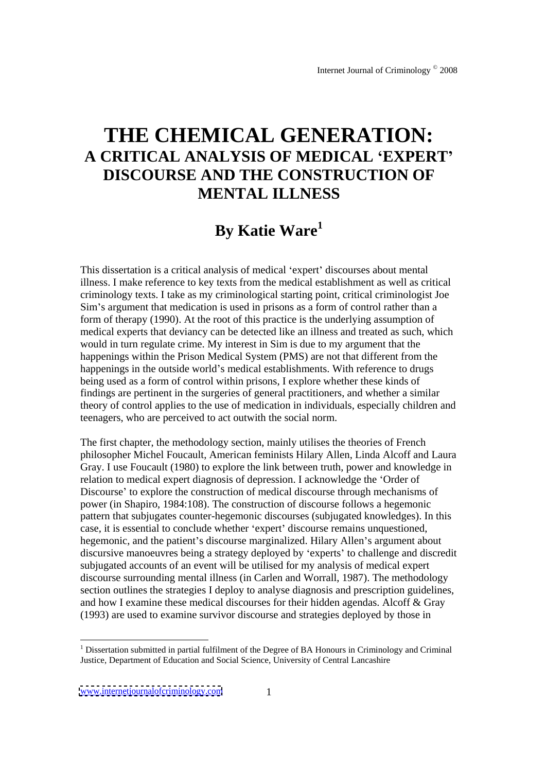# **THE CHEMICAL GENERATION: A CRITICAL ANALYSIS OF MEDICAL EXPERT DISCOURSE AND THE CONSTRUCTION OF MENTAL ILLNESS**

## **By Katie Ware1**

This dissertation is a critical analysis of medical 'expert' discourses about mental illness. I make reference to key texts from the medical establishment as well as critical criminology texts. I take as my criminological starting point, critical criminologist Joe Sim's argument that medication is used in prisons as a form of control rather than a form of therapy (1990). At the root of this practice is the underlying assumption of medical experts that deviancy can be detected like an illness and treated as such, which would in turn regulate crime. My interest in Sim is due to my argument that the happenings within the Prison Medical System (PMS) are not that different from the happenings in the outside world's medical establishments. With reference to drugs being used as a form of control within prisons, I explore whether these kinds of findings are pertinent in the surgeries of general practitioners, and whether a similar theory of control applies to the use of medication in individuals, especially children and teenagers, who are perceived to act outwith the social norm.

The first chapter, the methodology section, mainly utilises the theories of French philosopher Michel Foucault, American feminists Hilary Allen, Linda Alcoff and Laura Gray. I use Foucault (1980) to explore the link between truth, power and knowledge in relation to medical expert diagnosis of depression. I acknowledge the 'Order of Discourse' to explore the construction of medical discourse through mechanisms of power (in Shapiro, 1984:108). The construction of discourse follows a hegemonic pattern that subjugates counter-hegemonic discourses (subjugated knowledges). In this case, it is essential to conclude whether 'expert' discourse remains unquestioned, hegemonic, and the patient's discourse marginalized. Hilary Allen's argument about discursive manoeuvres being a strategy deployed by 'experts' to challenge and discredit subjugated accounts of an event will be utilised for my analysis of medical expert discourse surrounding mental illness (in Carlen and Worrall, 1987). The methodology section outlines the strategies I deploy to analyse diagnosis and prescription guidelines, and how I examine these medical discourses for their hidden agendas. Alcoff & Gray (1993) are used to examine survivor discourse and strategies deployed by those in

<sup>&</sup>lt;sup>1</sup> Dissertation submitted in partial fulfilment of the Degree of BA Honours in Criminology and Criminal Justice, Department of Education and Social Science, University of Central Lancashire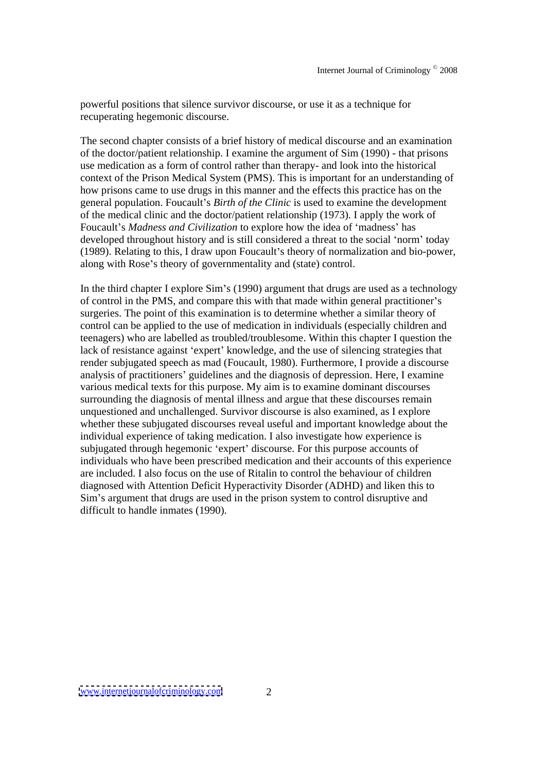powerful positions that silence survivor discourse, or use it as a technique for recuperating hegemonic discourse.

The second chapter consistsof a brief history of medical discourse and an examination of the doctor/patient relationship. I examine the argument of Sim (1990) - that prisons use medication as a form of control rather than therapy- and look into the historical context of the Prison Medical System (PMS). This is important for an understanding of how prisons came to use drugs in this manner and the effects this practice has on the general population. Foucault's *Birth of the Clinic* is used to examine the development of the medical clinic and the doctor/patient relationship (1973). I apply the work of Foucault's *Madness and Civilization* to explore how the idea of 'madness' has developed throughout history and is still considered a threat to the social 'norm' today (1989). Relating to this, I draw upon Foucault s theory of normalization and bio-power, along with Rose's theory of governmentality and (state) control.

In the third chapter I explore  $Sim's (1990)$  argument that drugs are used as a technology of control in the PMS, and compare this with that made within general practitioner s surgeries. The point of this examination is to determine whether a similar theory of control can be applied to the use of medication in individuals (especially children and teenagers) who are labelled as troubled/troublesome. Within this chapter I question the lack of resistance against 'expert' knowledge, and the use of silencing strategies that render subjugated speech as mad (Foucault, 1980). Furthermore, I provide a discourse analysis of practitioners' guidelines and the diagnosis of depression. Here, I examine various medical texts for this purpose. My aim is to examine dominant discourses surrounding the diagnosis of mental illness and argue that these discourses remain unquestioned and unchallenged. Survivor discourse is also examined, as I explore whether these subjugated discourses reveal useful and important knowledge about the individual experience of taking medication. I also investigate how experience is subjugated through hegemonic 'expert' discourse. For this purpose accounts of individuals who have been prescribed medication and their accounts of this experience are included. I also focus on the use of Ritalin to control the behaviour of children diagnosed with Attention Deficit Hyperactivity Disorder (ADHD) and liken this to Sim's argument that drugs are used in the prison system to control disruptive and difficult to handle inmates (1990).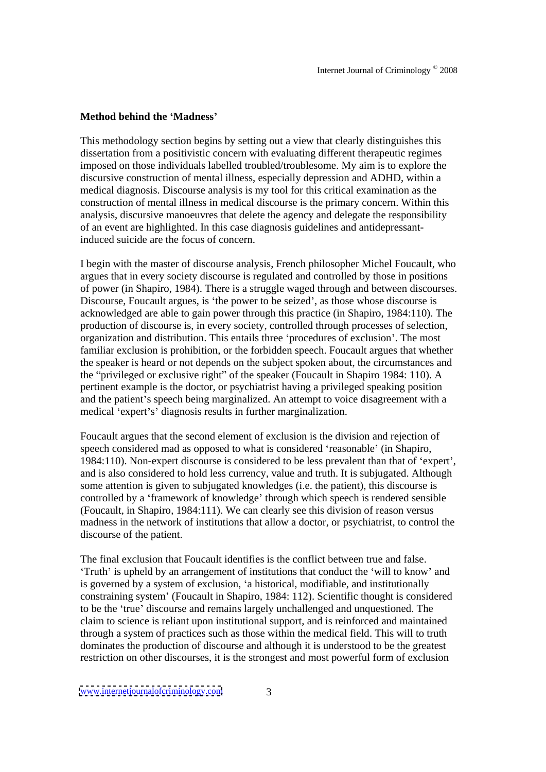#### **Method behind the Madness**

This methodology section begins by setting out a view that clearly distinguishes this dissertation from a positivistic concern with evaluating different therapeutic regimes imposed on those individuals labelled troubled/troublesome. My aim is to explore the discursive construction of mental illness, especially depression and ADHD, within a medical diagnosis. Discourse analysis is my tool for this critical examination as the construction of mental illness in medical discourse is theprimary concern. Within this analysis, discursive manoeuvres that delete the agency and delegate the responsibility of an event are highlighted. In this case diagnosis guidelines and antidepressantinduced suicide are the focus of concern.

I begin with the master of discourse analysis, French philosopher Michel Foucault, who argues that in every society discourse is regulated and controlled by those in positions of power (in Shapiro, 1984). There is a struggle waged through and between discourses. Discourse, Foucault argues, is the power to be seized , as those whose discourse is acknowledged are able to gain power through this practice (in Shapiro, 1984:110). The production of discourse is, in every society, controlled through processes of selection, organization and distribution. This entails three 'procedures of exclusion'. The most familiar exclusion is prohibition, or the forbidden speech. Foucault argues that whether the speaker is heard or not depends on the subject spoken about, the circumstances and the "privileged or exclusive right" of the speaker (Foucault in Shapiro 1984: 110). A pertinent example is the doctor, or psychiatrist having a privileged speaking position and the patient's speech being marginalized. An attempt to voice disagreement with a medical 'expert's' diagnosis results in further marginalization.

Foucault argues that the second element of exclusion is the division and rejection of speech considered mad as opposed to what is considered 'reasonable' (in Shapiro, 1984:110). Non-expert discourse is considered to be less prevalent than that of expert , and is also considered to hold less currency, value and truth. It is subjugated. Although some attention is given to subjugated knowledges (i.e. the patient), this discourse is controlled by a 'framework of knowledge' through which speech is rendered sensible (Foucault, in Shapiro, 1984:111). We can clearly see this division of reason versus madness in the network of institutions that allow a doctor, or psychiatrist, to control the discourse of the patient.

The final exclusion that Foucault identifies is the conflict between true and false. Truth' is upheld by an arrangement of institutions that conduct the 'will to know' and is governed by a system of exclusion, 'a historical, modifiable, and institutionally constraining system' (Foucault in Shapiro, 1984: 112). Scientific thought is considered to be the 'true' discourse and remains largely unchallenged and unquestioned. The claim to science is reliant upon institutional support, and is reinforced and maintained through a system of practices such as those within the medical field. This will to truth dominates the production of discourse and although it is understood to be the greatest restriction on other discourses, it is the strongest and most powerful form of exclusion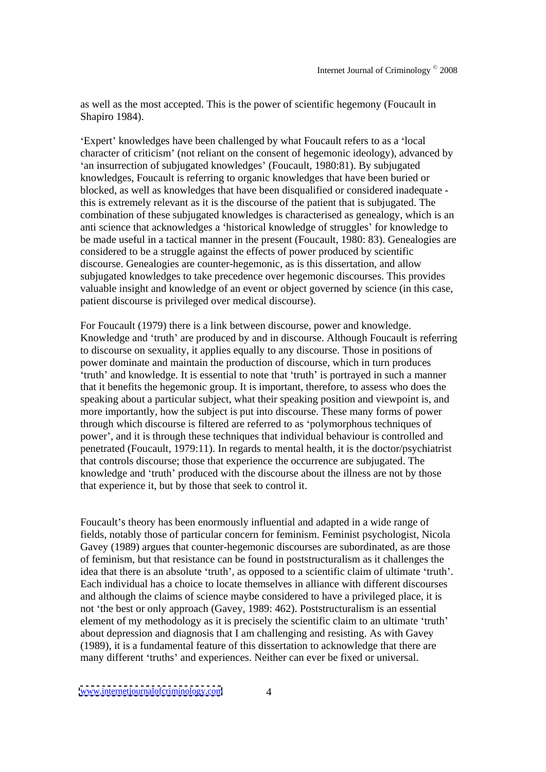as well as the most accepted. This is the power of scientific hegemony (Foucault in Shapiro 1984).

Expert' knowledges have been challenged by what Foucault refers to as a 'local' character of criticism' (not reliant on the consent of hegemonic ideology), advanced by 'an insurrection of subjugated knowledges' (Foucault, 1980:81). By subjugated knowledges, Foucault is referring to organic knowledges that have been buried or blocked, as well as knowledges that have been disqualified or considered inadequate this is extremely relevant as it is the discourse of the patient that is subjugated. The combination of these subjugated knowledges is characterised as genealogy, which is an anti science that acknowledges a 'historical knowledge of struggles' for knowledge to be made useful in a tactical manner in the present (Foucault, 1980: 83). Genealogies are considered to be a struggle against the effects of power produced by scientific discourse. Genealogies are counter-hegemonic, as is this dissertation, and allow subjugated knowledges to take precedence over hegemonic discourses. This provides valuable insight and knowledge of an event or object governed by science (in this case, patient discourse is privileged over medical discourse).

For Foucault (1979) there is a link between discourse, power and knowledge. Knowledge and 'truth' are produced by and in discourse. Although Foucault is referring to discourse on sexuality, it applies equally to any discourse. Those in positions of power dominate and maintain the production of discourse, which in turn produces truth' and knowledge. It is essential to note that 'truth' is portrayed in such a manner that it benefits the hegemonic group. It is important, therefore, to assess who does the speaking about a particular subject, what their speaking position and viewpoint is, and more importantly, how the subject is put into discourse. These many forms of power through which discourse is filtered are referred to as 'polymorphous techniques of power , and it is through these techniques that individual behaviour is controlled and penetrated (Foucault, 1979:11). In regards to mental health, it is the doctor/psychiatrist that controls discourse; those that experience the occurrence are subjugated. The knowledge and 'truth' produced with the discourse about the illness are not by those that experience it, but by those that seek to control it.

Foucault's theory has been enormously influential and adapted in a wide range of fields, notably those of particular concern for feminism. Feminist psychologist, Nicola Gavey (1989) argues that counter-hegemonic discourses are subordinated, as are those of feminism, but that resistance can be found in poststructuralism as it challenges the idea that there is an absolute 'truth', as opposed to a scientific claim of ultimate 'truth'. Each individual has a choice to locate themselves in alliance with different discourses and although the claims of science maybe considered to have a privileged place, it is not the best or only approach (Gavey, 1989: 462). Poststructuralism is an essential element of my methodology as it is precisely the scientific claim to an ultimate 'truth' about depression and diagnosis that I am challenging and resisting. As with Gavey (1989), it is a fundamental feature of this dissertation to acknowledge that there are many different 'truths' and experiences. Neither can ever be fixed or universal.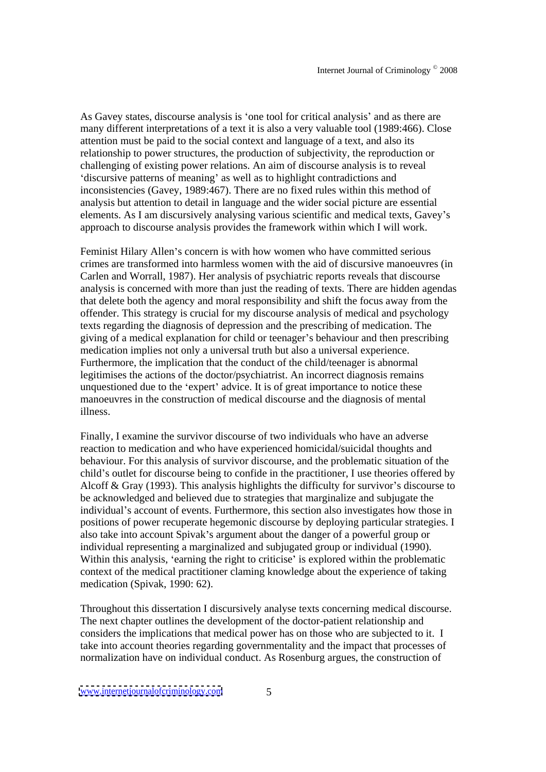As Gavey states, discourse analysis is 'one tool for critical analysis' and as there are many different interpretations of a text it is also a very valuable tool (1989:466). Close attention must be paid to the social context and language of a text, and also its relationship to power structures, the production of subjectivity, the reproduction or challenging of existing power relations. An aim of discourse analysis isto reveal discursive patterns of meaning' as well as to highlight contradictions and inconsistencies (Gavey, 1989:467). There are no fixed rules within this method of analysis but attention to detail in language and the wider social picture are essential elements. As I am discursively analysing various scientific and medical texts, Gavey's approach to discourse analysis provides the framework within which I will work.

Feminist Hilary Allen's concern is with how women who have committed serious crimes are transformed into harmless women with the aid of discursive manoeuvres (in Carlen and Worrall, 1987). Her analysis of psychiatric reports reveals that discourse analysis is concerned with more than just the reading of texts. There are hidden agendas that delete both the agency and moral responsibility and shift the focus away from the offender. This strategy is crucial for my discourse analysis of medical and psychology texts regarding the diagnosis of depression and the prescribing of medication. The giving of a medical explanation for child or teenager's behaviour and then prescribing medication implies not only a universal truth but also a universal experience. Furthermore, the implication that the conduct of the child/teenager is abnormal legitimises the actions of the doctor/psychiatrist. An incorrect diagnosis remains unquestioned due to the 'expert' advice. It is of great importance to notice these manoeuvres in the construction of medical discourse and the diagnosis of mental illness.

Finally, I examine the survivor discourse of two individuals who have an adverse reaction to medication and who have experienced homicidal/suicidal thoughts and behaviour. For this analysis of survivor discourse, and the problematic situation of the child's outlet for discourse being to confide in the practitioner, I use theories offered by Alcoff  $& Gray$  (1993). This analysis highlights the difficulty for survivor's discourse to be acknowledged and believed due to strategies that marginalize and subjugate the individual's account of events. Furthermore, this section also investigates how those in positions of power recuperate hegemonic discourse by deploying particular strategies. I also take into account Spivak's argument about the danger of a powerful group or individual representing a marginalized and subjugated group or individual (1990). Within this analysis, 'earning the right to criticise' is explored within the problematic context of the medical practitioner claming knowledge about the experience of taking medication (Spivak, 1990: 62).

Throughout this dissertation I discursively analyse texts concerning medical discourse. The next chapter outlines the development of the doctor-patient relationship and considers the implications that medical power has on those who are subjected to it. I take into account theories regarding governmentality and the impact that processes of normalization have on individual conduct. As Rosenburg argues, the construction of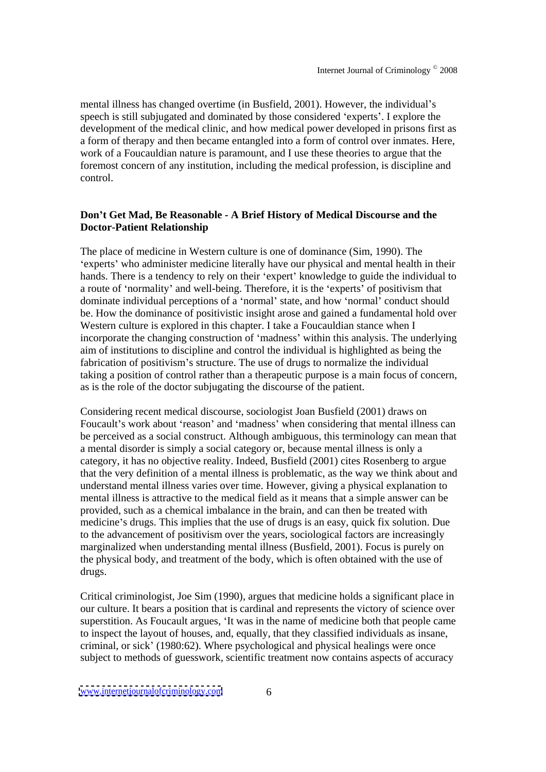mental illness has changed overtime (in Busfield, 2001). However, the individual's speech is still subjugated and dominated by those considered 'experts'. I explore the development of the medical clinic, and how medical power developed in prisons first as a form of therapy and then became entangled into a form of control over inmates. Here, work of a Foucauldian nature is paramount, and I use these theories to argue that the foremost concern of any institution, including the medical profession, is discipline and control.

## **Don t Get Mad, Be Reasonable - A Brief History of Medical Discourse and the Doctor-Patient Relationship**

The place of medicine in Western culture is one of dominance (Sim, 1990). The 'experts' who administer medicine literally have our physical and mental health in their hands. There is a tendency to rely on their 'expert' knowledge to guide the individual to a route of 'normality' and well-being. Therefore, it is the 'experts' of positivism that dominate individual perceptions of a 'normal' state, and how 'normal' conduct should be. How the dominance of positivistic insight arose and gained a fundamental hold over Western culture is explored in this chapter. I take a Foucauldian stance when I incorporate the changing construction of 'madness' within this analysis. The underlying aim of institutions to discipline and control the individual is highlighted as being the fabrication of positivism's structure. The use of drugs to normalize the individual taking a position of control rather than a therapeutic purpose is a main focus of concern, as is the role of the doctor subjugating the discourse of the patient.

Considering recent medical discourse, sociologist Joan Busfield (2001) draws on Foucault's work about 'reason' and 'madness' when considering that mental illness can be perceived as a social construct. Although ambiguous, this terminology can mean that a mental disorder is simply a social category or, because mental illness is only a category, it has no objective reality. Indeed, Busfield (2001) cites Rosenberg to argue that the very definition of a mental illness is problematic, as the way we think about and understand mental illness varies over time. However, giving a physical explanation to mental illness is attractive to the medical field as it means that a simple answer can be provided, such as a chemical imbalance in the brain, and can then be treated with medicine's drugs. This implies that the use of drugs is an easy, quick fix solution. Due to the advancement of positivism over the years, sociological factors are increasingly marginalized when understanding mental illness (Busfield, 2001). Focus is purely on the physical body, and treatment of the body, which is often obtained with the use of drugs.

Critical criminologist, Joe Sim (1990), argues that medicine holds a significant place in our culture. It bears a position that is cardinal and represents the victory of science over superstition. As Foucault argues, 'It was in the name of medicine both that people came to inspect the layout of houses, and, equally, that they classified individuals as insane, criminal, or sick (1980:62). Where psychological and physical healings were once subject to methods of guesswork, scientific treatment now contains aspects of accuracy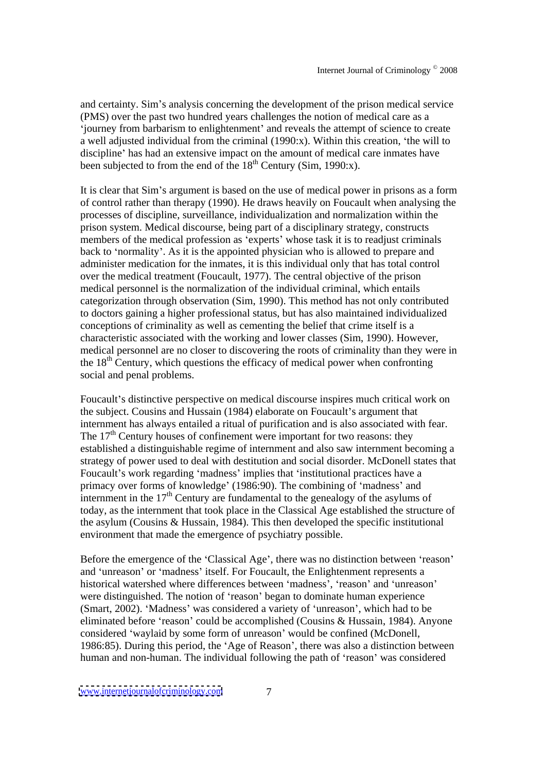and certainty. Sim's analysis concerning the development of the prison medical service (PMS) over the past two hundred years challenges the notion of medical care as a 'journey from barbarism to enlightenment' and reveals the attempt of science to create a well adjusted individual from the criminal (1990:x). Within this creation, the will to discipline' has had an extensive impact on the amount of medical care inmates have been subjected to from the end of the  $18<sup>th</sup>$  Century (Sim, 1990:x).  $t<sup>th</sup>$  Century (Sim, 1990:x).

It is clear that Sim's argument is based on the use of medical power in prisons as a form of control rather than therapy (1990). He draws heavily on Foucault when analysing the processes of discipline, surveillance, individualization and normalization within the prison system. Medical discourse, being part of a disciplinary strategy, constructs members of the medical profession as 'experts' whose task it is to readjust criminals back to 'normality'. As it is the appointed physician who is allowed to prepare and administer medication for the inmates, it is this individual only that has total control over the medical treatment (Foucault, 1977). The central objective of the prison medical personnel is the normalization of the individual criminal, which entails categorization through observation (Sim, 1990). This method has not only contributed to doctors gaining a higher professional status, but has also maintained individualized conceptions of criminality as well as cementing the belief that crime itself is a characteristic associated with the working and lower classes (Sim, 1990). However, medical personnel are no closer to discovering the roots of criminality than they were in the  $18<sup>th</sup>$  Century, which questions the efficacy of medical power when confronting social and penal problems.

Foucault's distinctive perspective on medical discourse inspires much critical work on the subject. Cousins and Hussain (1984) elaborate on Foucault's argument that internment has always entailed a ritual of purification and is also associated with fear. The 17<sup>th</sup> Century houses of confinement were important for two reasons: they established a distinguishable regime of internment and also saw internment becoming a strategy of power used to deal with destitution and social disorder. McDonell states that Foucault's work regarding 'madness' implies that 'institutional practices have a primacy over forms of knowledge' (1986:90). The combining of 'madness' and  $\frac{1}{2}$  internment in the 17<sup>th</sup> Century are fundamental to the genealogy of the asylums of today, as the internment that took place in the Classical Age established the structure of the asylum (Cousins & Hussain, 1984). This then developed the specific institutional environment that made the emergence of psychiatry possible.

Before the emergence of the 'Classical Age', there was no distinction between 'reason' and 'unreason' or 'madness' itself. For Foucault, the Enlightenment represents a historical watershed where differences between 'madness', 'reason' and 'unreason' were distinguished. The notion of 'reason' began to dominate human experience (Smart, 2002). 'Madness' was considered a variety of 'unreason', which had to be eliminated before 'reason' could be accomplished (Cousins  $&$  Hussain, 1984). Anyone considered 'waylaid by some form of unreason' would be confined (McDonell, 1986:85). During this period, the 'Age of Reason', there was also a distinction between human and non-human. The individual following the path of 'reason' was considered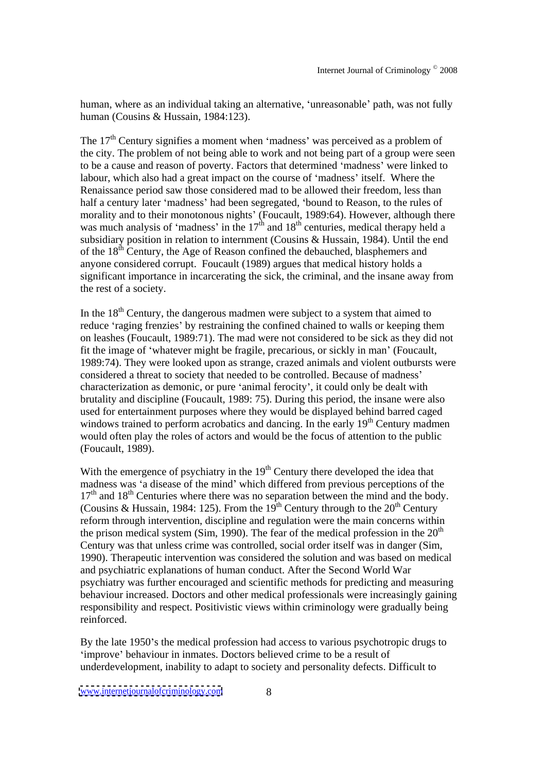human, where as an individual taking an alternative, 'unreasonable' path, was not fully human (Cousins & Hussain, 1984:123).

The 17<sup>th</sup> Century signifies a moment when 'madness' was perceived as a problem of the city. The problem of not being able to work and not being part of a group were seen to be a cause and reason of poverty. Factors that determined 'madness' were linked to labour, which also had a great impact on the course of 'madness' itself. Where the Renaissance period saw those considered mad to be allowed their freedom, less than half a century later 'madness' had been segregated, 'bound to Reason, to the rules of morality and to their monotonous nights' (Foucault, 1989:64). However, although there was much analysis of 'madness' in the  $17<sup>th</sup>$  and  $18<sup>th</sup>$  centuries, medical therapy held a subsidiary position in relation to internment (Cousins & Hussain, 1984). Until the end of the  $18<sup>th</sup>$  Century, the Age of Reason confined the debauched, blasphemers and anyone considered corrupt. Foucault (1989) argues that medical history holds a significant importance in incarcerating the sick, the criminal, and the insane away from the rest of a society.

In the  $18<sup>th</sup>$  Century, the dangerous madmen were subject to a system that aimed to reduce 'raging frenzies' by restraining the confined chained to walls or keeping them on leashes (Foucault, 1989:71). The mad were not considered to be sick as they did not fit the image of 'whatever might be fragile, precarious, or sickly in man' (Foucault, 1989:74). They were looked upon as strange, crazed animals and violent outburstswere considered a threat to society that needed to be controlled. Because of madness characterization as demonic, or pure 'animal ferocity', it could only be dealt with brutality and discipline (Foucault, 1989: 75). During thisperiod, the insane were also used for entertainment purposes where they would be displayed behind barred caged windows trained to perform acrobatics and dancing. In the early 19<sup>th</sup> Century madmen <sup>th</sup> Century madmen would often play the roles of actors and would be the focus of attention to the public (Foucault, 1989).

With the emergence of psychiatry in the 19<sup>th</sup> Century there developed the idea that madness was 'a disease of the mind' which differed from previous perceptions of the 17<sup>th</sup> and 18<sup>th</sup> Centuries where there was no separation between the mind and the body. (Cousins & Hussain, 1984: 125). From the 19<sup>th</sup> Century through to the 20<sup>th</sup> Century <sup>th</sup> Century reform through intervention, discipline and regulation were the main concerns within the prison medical system (Sim, 1990). The fear of the medical profession in the  $20<sup>th</sup>$ the contract of the contract of the contract of the contract of the contract of the contract of the contract of the contract of the contract of the contract of the contract of the contract of the contract of the contract o Century was that unless crime was controlled, social order itself was in danger (Sim, 1990). Therapeutic intervention was considered the solution and was based on medical and psychiatric explanations of human conduct. After the Second World War psychiatry was further encouraged and scientific methods for predicting and measuring behaviour increased. Doctors and other medical professionals were increasingly gaining responsibility and respect. Positivistic views within criminology were gradually being reinforced.

By the late 1950's the medical profession had access to various psychotropic drugs to 'improve' behaviour in inmates. Doctors believed crime to be a result of underdevelopment, inability to adapt to society and personality defects. Difficult to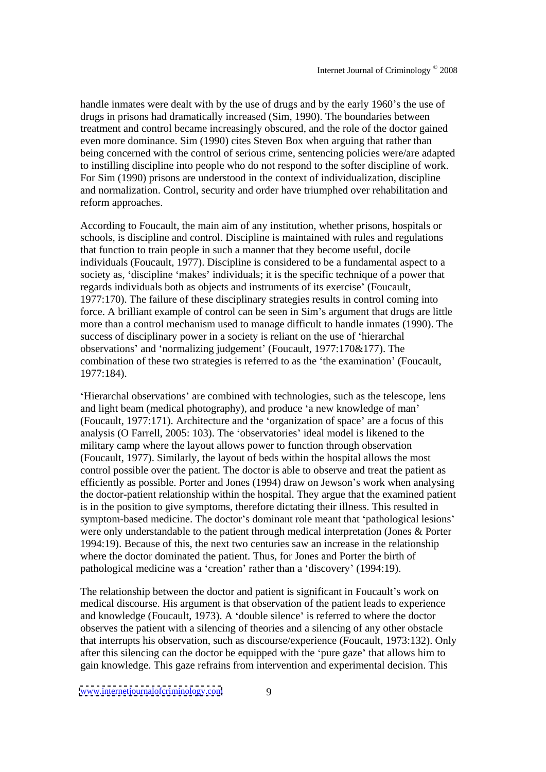handle inmates were dealt with by the use of drugs and by the early 1960's the use of drugs in prisons had dramatically increased (Sim, 1990). The boundaries between treatment and control became increasingly obscured, and the role of the doctor gained even more dominance. Sim (1990) cites Steven Box when arguing that rather than being concerned with the control of serious crime, sentencing policies were/are adapted to instilling discipline into people who do not respond to the softer discipline of work. For Sim (1990) prisons are understood in the context of individualization, discipline and normalization. Control, security and order have triumphed over rehabilitation and reform approaches.

According to Foucault, the main aim of any institution, whether prisons, hospitals or schools, is discipline and control. Discipline is maintained with rules and regulations that function to train people in such a manner that they become useful, docile individuals (Foucault, 1977). Discipline is considered to be a fundamental aspect to a society as, 'discipline 'makes' individuals; it is the specific technique of a power that regards individuals both as objects and instruments of its exercise' (Foucault, 1977:170). The failure of these disciplinary strategies results in control coming into force. A brilliant example of control can be seen in Sim's argument that drugs are little more than a control mechanism used to manage difficult to handle inmates (1990). The success of disciplinary power in a society is reliant on the use of 'hierarchal observations' and 'normalizing judgement' (Foucault,  $1977:170\&177$ ). The combination of these two strategies is referred to as the 'the examination' (Foucault, 1977:184).

'Hierarchal observations' are combined with technologies, such as the telescope, lens and light beam (medical photography), and produce 'a new knowledge of man' (Foucault,  $1977:171$ ). Architecture and the 'organization of space' are a focus of this analysis (O Farrell, 2005: 103). The 'observatories' ideal model is likened to the military camp where the layout allows power to function through observation (Foucault, 1977). Similarly, the layout of beds within the hospital allows the most control possible over the patient. The doctor is able to observe and treat the patient as efficiently as possible. Porter and Jones (1994) draw on Jewson's work when analysing the doctor-patient relationship within the hospital. They argue that the examined patient is in the position to give symptoms, therefore dictating their illness. This resulted in symptom-based medicine. The doctor's dominant role meant that 'pathological lesions' were only understandable to the patient through medical interpretation (Jones & Porter 1994:19). Because of this, the next two centuries saw an increase in the relationship where the doctor dominated the patient. Thus, for Jones and Porter the birth of pathological medicine was a 'creation' rather than a 'discovery' (1994:19).

The relationship between the doctor and patient is significant in Foucault's work on medical discourse. His argument is that observation of the patient leads to experience and knowledge (Foucault, 1973). A 'double silence' is referred to where the doctor observes the patient with a silencing of theories and a silencing of any other obstacle that interrupts his observation, such as discourse/experience (Foucault, 1973:132). Only after this silencing can the doctor be equipped with the 'pure gaze' that allows him to gain knowledge. This gaze refrains from intervention and experimental decision. This

[www.internetjournalofcriminology.com](http://www.internetjournalofcriminology.com) 9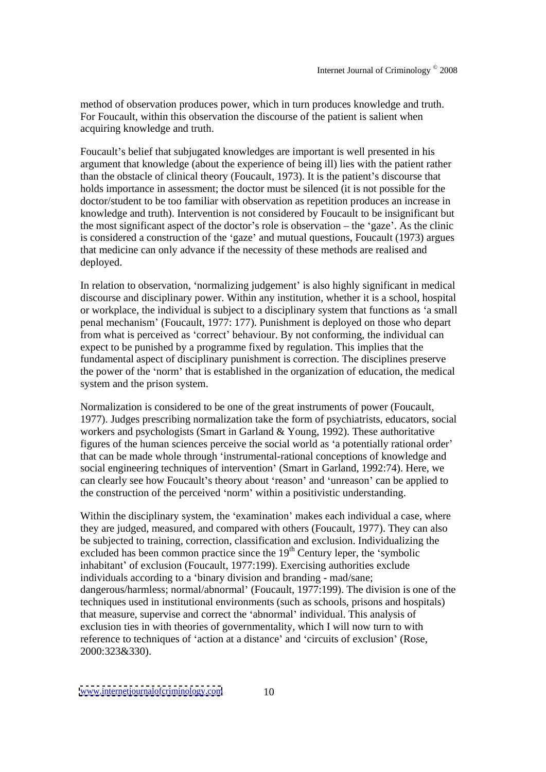method of observation produces power, which in turn produces knowledge and truth. For Foucault, within this observation the discourse of the patient is salient when acquiring knowledge and truth.

Foucault's belief that subjugated knowledges are important is well presented in his argument that knowledge (about the experience of being ill) lies with the patient rather than the obstacle of clinical theory (Foucault, 1973). It is the patient's discourse that holds importance in assessment; the doctor must be silenced (it is not possible for the doctor/student to be too familiar with observation as repetition produces an increase in knowledge and truth). Intervention is not considered by Foucault to be insignificant but the most significant aspect of the doctor's role is observation  $-$  the 'gaze'. As the clinic is considered a construction of the 'gaze' and mutual questions, Foucault (1973) argues that medicine can only advance if the necessity of these methods are realised and deployed.

In relation to observation, 'normalizing judgement' is also highly significant in medical discourse and disciplinary power. Within any institution, whether it is a school, hospital or workplace, the individual is subject to a disciplinary system that functions as 'a small penal mechanism (Foucault, 1977: 177). Punishment is deployed on those who depart from what is perceived as 'correct' behaviour. By not conforming, the individual can expect to be punished by a programme fixed by regulation. This implies that the fundamental aspect of disciplinary punishment is correction. The disciplines preserve the power of the 'norm' that is established in the organization of education, the medical system and the prison system.

Normalization is considered to be one of the great instruments of power (Foucault, 1977). Judges prescribing normalization take the form of psychiatrists, educators, social workers and psychologists (Smart in Garland & Young, 1992). These authoritative figures of the human sciences perceive the social world as 'a potentially rational order' that can be made whole through 'instrumental-rational conceptions of knowledge and social engineering techniques of intervention' (Smart in Garland, 1992:74). Here, we can clearly see how Foucault's theory about 'reason' and 'unreason' can be applied to the construction of the perceived 'norm' within a positivistic understanding.

Within the disciplinary system, the 'examination' makes each individual a case, where they are judged, measured, and compared with others (Foucault, 1977). They can also be subjected to training, correction, classification and exclusion. Individualizing the excluded has been common practice since the  $19<sup>th</sup>$  Century leper, the 'symbolic inhabitant' of exclusion (Foucault, 1977:199). Exercising authorities exclude individuals according to a 'binary division and branding - mad/sane; dangerous/harmless; normal/abnormal' (Foucault, 1977:199). The division is one of the techniques used in institutional environments (such as schools, prisons and hospitals) that measure, supervise and correct the 'abnormal' individual. This analysis of exclusion ties in with theories of governmentality, which I will now turn to with reference to techniques of 'action at a distance' and 'circuits of exclusion' (Rose, 2000:323&330).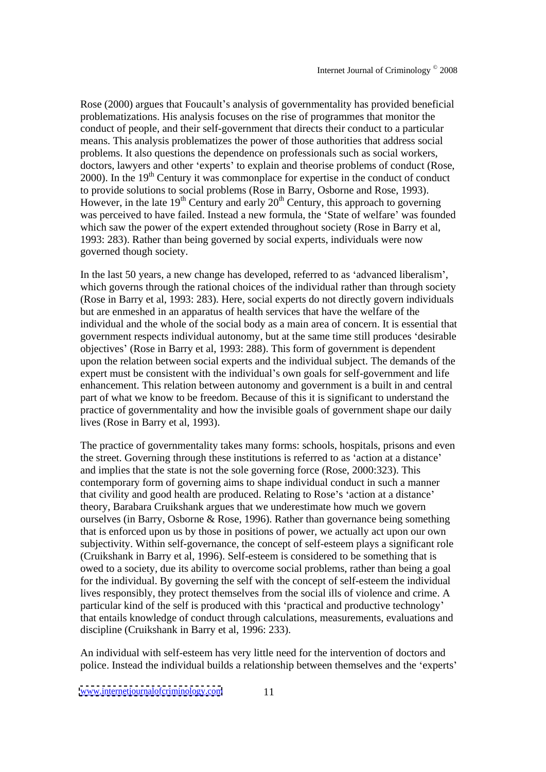Rose (2000) argues that Foucault's analysis of governmentality has provided beneficial problematizations. His analysis focuses on the rise of programmes that monitor the conduct of people, and their self-government that directs their conduct to a particular means. This analysis problematizes the power of those authorities that address social problems. It also questions the dependence on professionals such as social workers, doctors, lawyers and other 'experts' to explain and theorise problems of conduct (Rose,  $2000$ ). In the 19<sup>th</sup> Century it was commonplace for expertise in the conduct of conduct to provide solutions to social problems (Rose in Barry, Osborne and Rose, 1993). However, in the late 19<sup>th</sup> Century and early 20<sup>th</sup> Century, this approach to governing was perceived to have failed. Instead a new formula, the 'State of welfare' was founded which saw the power of the expert extended throughout society (Rose in Barry et al, 1993: 283). Rather than being governed by social experts, individuals were now governed though society.

In the last 50 years, a new change has developed, referred to as 'advanced liberalism', which governs through the rational choices of the individual rather than through society (Rose in Barry et al, 1993: 283). Here, social experts do not directly govern individuals but are enmeshed in an apparatus of health services that have the welfare of the individual and the whole of the social body as a main area of concern. It is essential that government respects individual autonomy, but at the same time still produces 'desirable objectives (Rose in Barry et al, 1993: 288). This form of government is dependent upon the relation between social experts and the individual subject. The demands of the expert must be consistent with the individual's own goals for self-government and life enhancement. This relation between autonomy and government is a built in and central part of what we know to be freedom. Because of this it is significant to understand the practice of governmentality and how the invisible goals of government shape our daily lives (Rose in Barry et al, 1993).

The practice of governmentality takes many forms: schools, hospitals, prisons and even the street. Governing through these institutions is referred to as 'action at a distance' and implies that the state is not the sole governing force (Rose, 2000:323). This contemporary form of governing aims to shape individual conduct in such a manner that civility and good health are produced. Relating to Rose's 'action at a distance' theory, Barabara Cruikshank argues that we underestimate how much we govern ourselves (in Barry, Osborne & Rose, 1996). Rather than governance being something that is enforced upon us by those in positions of power, we actually act upon our own subjectivity. Within self-governance, the concept of self-esteem plays a significant role (Cruikshank in Barry et al, 1996). Self-esteem is considered to be something that is owed to a society, due its ability to overcome social problems, rather than being a goal for the individual. By governing the self with the concept of self-esteem the individual lives responsibly, they protect themselves from the social ills of violence and crime. A particular kind of the self is produced with this 'practical and productive technology' that entails knowledge of conduct through calculations, measurements, evaluations and discipline (Cruikshank in Barry et al, 1996: 233).

An individual with self-esteem has very little need for the intervention of doctors and police. Instead the individual builds a relationship between themselves and the 'experts'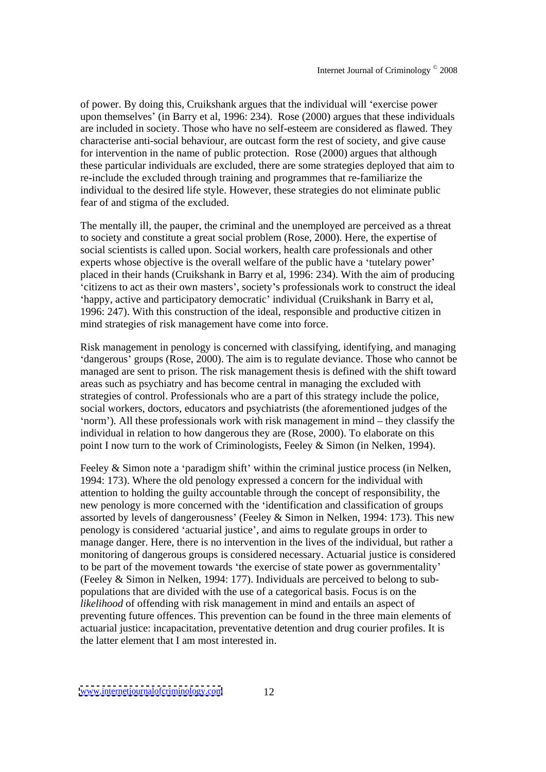of power. By doing this, Cruikshank argues that the individual will 'exercise power upon themselves (in Barry et al, 1996: 234). Rose (2000) argues that these individuals are included in society. Those who have no self-esteem are considered as flawed. They characterise anti-social behaviour, are outcast form the rest of society, and give cause for intervention in the name of public protection. Rose (2000) argues that although these particular individuals are excluded, there are some strategies deployed that aim to re-include the excluded through training and programmes that re-familiarize the individual to the desired life style. However, these strategies do not eliminate public fear of and stigma of the excluded.

The mentally ill, the pauper, the criminal and the unemployed are perceived as a threat to society and constitute a great social problem (Rose, 2000). Here, the expertise of social scientists is called upon. Social workers, health care professionals and other experts whose objective is the overall welfare of the public have a 'tutelary power' placed in their hands (Cruikshank in Barry et al, 1996: 234). With the aim of producing citizens to act as their own masters , society s professionals work to construct the ideal 'happy, active and participatory democratic' individual (Cruikshank in Barry et al, 1996: 247). With this construction of the ideal, responsible and productive citizen in mind strategies of risk management have come into force.

Risk management in penology is concerned with classifying, identifying, and managing 'dangerous' groups (Rose, 2000). The aim is to regulate deviance. Those who cannot be managed are sent to prison. The risk management thesis is defined with the shift toward areas such as psychiatry and has become central in managing the excluded with strategies of control. Professionals who are a part of this strategy include the police, social workers, doctors, educators and psychiatrists (the aforementioned judges of the 'norm'). All these professionals work with risk management in mind  $-$  they classify the individual in relation to how dangerous they are(Rose, 2000). To elaborate on this point I now turn to the work of Criminologists, Feeley & Simon (in Nelken, 1994).

Feeley  $&$  Simon note a 'paradigm shift' within the criminal justice process (in Nelken, 1994: 173). Where the old penology expressed a concern for the individual with attention to holding the guilty accountable through the concept of responsibility, the new penology is more concerned with the 'identification and classification of groups assorted by levels of dangerousness' (Feeley & Simon in Nelken, 1994: 173). This new penology is considered 'actuarial justice', and aims to regulate groups in order to manage danger. Here, there is no intervention in the lives of the individual, but rather a monitoring of dangerous groups is considered necessary. Actuarial justice is considered to be part of the movement towards 'the exercise of state power as governmentality' (Feeley & Simon in Nelken, 1994: 177). Individuals are perceived to belong to sub populations that are divided with the use of a categorical basis. Focus is on the *likelihood* of offending with risk management in mind and entails an aspect of preventing future offences. This prevention can be found in the three main elements of actuarial justice: incapacitation, preventative detention and drug courier profiles. It is the latter element that I am most interested in.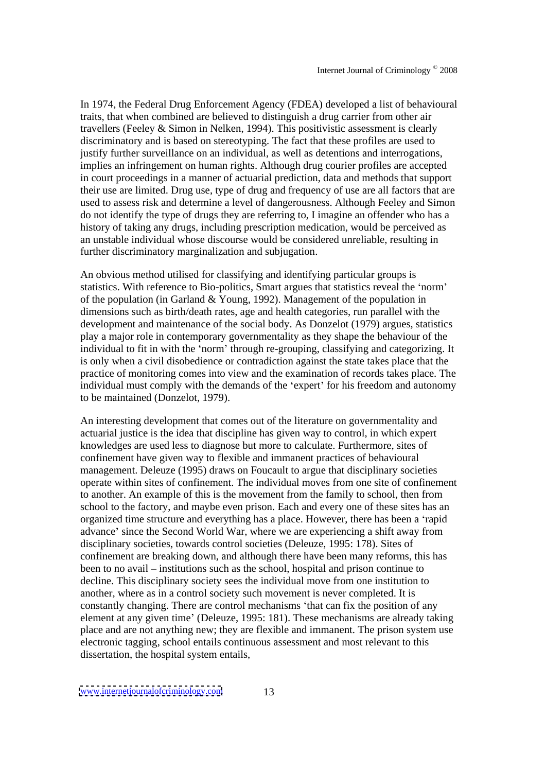In 1974, the Federal Drug Enforcement Agency (FDEA) developed a list of behavioural traits, that when combined are believed to distinguish a drug carrier from other air travellers (Feeley & Simon in Nelken, 1994). This positivistic assessment is clearly discriminatory and is based on stereotyping. The fact that these profiles are used to justify further surveillance on an individual, as well as detentions and interrogations, implies an infringement on human rights. Although drug courier profiles are accepted in court proceedings in a manner of actuarial prediction, data and methods that support their use are limited. Drug use, type of drug and frequency of use are all factors that are used to assess risk and determine a level of dangerousness. Although Feeley and Simon do not identify the type of drugs they are referring to, I imagine an offender who has a history of taking any drugs, including prescription medication, would be perceived as an unstable individual whose discourse would be considered unreliable, resulting in further discriminatory marginalization and subjugation.

An obvious method utilised for classifying and identifying particular groups is statistics. With reference to Bio-politics, Smart argues that statistics reveal the 'norm' of the population (in Garland & Young, 1992). Management of the population in dimensions such as birth/death rates, age and health categories, run parallel with the development and maintenance of the social body. As Donzelot (1979) argues, statistics play a major role in contemporary governmentality as they shape the behaviour of the individual to fit in with the 'norm' through re-grouping, classifying and categorizing. It is only when a civil disobedience or contradiction against the state takes place that the practice of monitoring comes into view and the examination of records takes place. The individual must comply with the demands of the 'expert' for his freedom and autonomy to be maintained (Donzelot, 1979).

An interesting development that comes out of the literature on governmentality and actuarial justice is the idea that discipline has given way to control, in which expert knowledges are used less to diagnose but more to calculate. Furthermore, sites of confinement have given way to flexible and immanent practices of behavioural management. Deleuze (1995) draws on Foucault to argue that disciplinary societies operate within sites of confinement. The individual moves from one site of confinement to another. An example of this is the movement from the family to school, then from school to the factory, and maybe even prison. Each and every one of these sites has an organized time structure and everything has a place. However, there has been a 'rapid advance' since the Second World War, where we are experiencing a shift away from disciplinary societies, towards control societies (Deleuze, 1995: 178). Sites of confinement are breaking down, and although there have been many reforms, this has been to no avail – institutions such as the school, hospital and prison continue to decline. This disciplinary society sees the individual move from one institution to another, where as in a control society such movement is never completed. It is constantly changing. There are control mechanisms 'that can fix the position of any element at any given time' (Deleuze, 1995: 181). These mechanisms are already taking place and are not anything new; they are flexible and immanent. The prison system use electronic tagging, school entails continuous assessment and most relevant to this dissertation, the hospital system entails,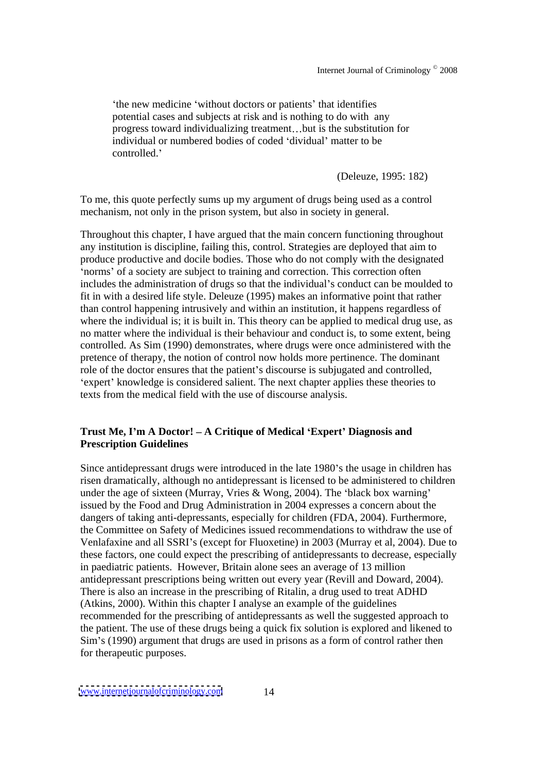'the new medicine 'without doctors or patients' that identifies potential cases and subjects at risk and is nothing to do with any progress toward individualizing treatment...but is the substitution for individual or numbered bodies of coded 'dividual' matter to be controlled.'

(Deleuze, 1995: 182)

To me, this quote perfectly sums up my argument of drugs being used as a control mechanism, not only in the prison system, but also in society in general.

Throughout this chapter, I have argued that the main concern functioning throughout any institution is discipline, failing this, control. Strategies are deployed that aim to produce productive and docile bodies. Those who do not comply with the designated 'norms' of a society are subject to training and correction. This correction often includes the administration of drugs so that the individual's conduct can be moulded to fit in with a desired life style. Deleuze (1995) makes an informative point that rather than control happening intrusively and within an institution, it happens regardless of where the individual is; it is built in. This theory can be applied to medical drug use, as no matter where the individual is their behaviour and conduct is, to some extent, being controlled. As Sim (1990) demonstrates, where drugs were once administered with the pretence of therapy, the notion of control now holds more pertinence.The dominant role of the doctor ensures that the patient's discourse is subjugated and controlled, 'expert' knowledge is considered salient. The next chapter applies these theories to texts from the medical field with the use of discourse analysis.

## **Trust Me, I m A Doctor! A Critique of Medical Expert Diagnosis and Prescription Guidelines**

Since antidepressant drugs were introduced in the late 1980's the usage in children has risen dramatically, although no antidepressant is licensed to be administered to children under the age of sixteen (Murray, Vries & Wong, 2004). The 'black box warning' issued by the Food and Drug Administration in 2004 expresses a concern about the dangers of taking anti-depressants, especially for children (FDA, 2004). Furthermore, the Committee on Safety of Medicines issued recommendations to withdraw the use of Venlafaxine and all SSRI's (except for Fluoxetine) in 2003 (Murray et al, 2004). Due to these factors, one could expect the prescribing of antidepressants to decrease, especially in paediatric patients. However, Britain alone sees an average of 13 million antidepressant prescriptions being written out every year (Revill and Doward, 2004). There is also an increase in the prescribing of Ritalin, a drug used to treat ADHD (Atkins, 2000). Within this chapter I analyse an example of the guidelines recommended for the prescribing of antidepressants as well the suggested approach to the patient. The use of these drugs being a quick fix solution is explored and likened to Sim's (1990) argument that drugs are used in prisons as a form of control rather then for therapeutic purposes.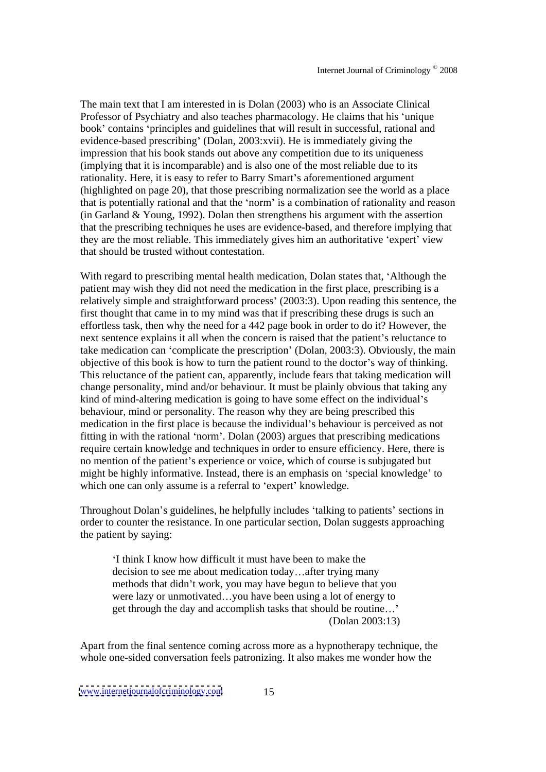The main text that I am interested in is Dolan (2003) who is an Associate Clinical Professor of Psychiatry and also teaches pharmacology. He claims that his 'unique book' contains 'principles and guidelines that will result in successful, rational and evidence-based prescribing (Dolan,  $2003$ : xvii). He is immediately giving the impression that his book stands out above any competition due to its uniqueness (implying that it is incomparable) and is also one of the most reliable due to its rationality. Here, it is easy to refer to Barry Smart's aforementioned argument (highlighted on page 20), that those prescribing normalization see the world as a place that is potentially rational and that the 'norm' is a combination of rationality and reason (in Garland & Young, 1992). Dolan then strengthens his argument with the assertion that the prescribing techniques he uses are evidence-based, and therefore implying that they are the most reliable. This immediately gives him an authoritative 'expert' view that should be trusted without contestation.

With regard to prescribing mental health medication, Dolan states that, 'Although the patient may wish they did not need the medication in the first place, prescribing is a relatively simple and straightforward process (2003:3). Upon reading this sentence, the first thought that came in to my mind was that if prescribing these drugs is such an effortless task, then why the need for a 442 page book in order to do it? However, the next sentence explains it all when the concern is raised that the patient's reluctance to take medication can 'complicate the prescription' (Dolan, 2003:3). Obviously, the main objective of this book is how to turn the patient round to the doctor's way of thinking. This reluctance of the patient can, apparently, include fears that taking medication will change personality, mind and/or behaviour. It must be plainly obvious that taking any kind of mind-altering medication is going to have some effect on the individual's behaviour, mind or personality. The reason why they are being prescribed this medication in the first place is because the individual's behaviour is perceived as not fitting in with the rational 'norm'. Dolan  $(2003)$  argues that prescribing medications require certain knowledge and techniques in order to ensure efficiency. Here, there is no mention of the patient's experience or voice, which of course is subjugated but might be highly informative. Instead, there is an emphasis on 'special knowledge' to which one can only assume is a referral to 'expert' knowledge.

Throughout Dolan's guidelines, he helpfully includes 'talking to patients' sections in order to counter the resistance. In one particular section, Dolan suggests approaching the patient by saying:

I think I know how difficult it must have been to make the decision to see me about medication today...after trying many methods that didn't work, you may have begun to believe that you were lazy or unmotivated...you have been using a lot of energy to get through the day and accomplish tasks that should be routine (Dolan 2003:13)

Apart from the final sentence coming across more as a hypnotherapy technique, the whole one-sided conversation feels patronizing. It also makes me wonder how the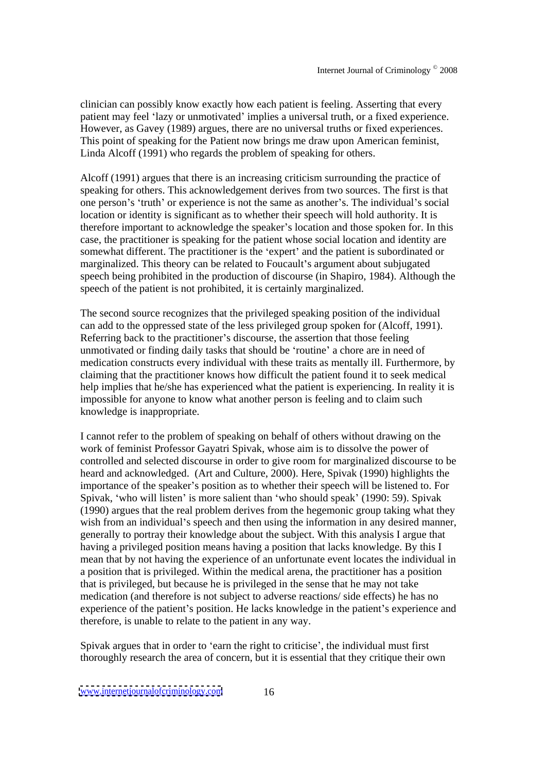clinician can possibly know exactly how each patient is feeling. Asserting that every patient may feel 'lazy or unmotivated' implies a universal truth, or a fixed experience. However, as Gavey (1989) argues, there are no universal truths or fixed experiences. This point of speaking for the Patient now brings me draw upon American feminist, Linda Alcoff (1991) who regards the problem of speaking for others.

Alcoff (1991) argues that there is an increasing criticism surrounding the practice of speaking for others. This acknowledgement derives from two sources. The first is that one person's 'truth' or experience is not the same as another's. The individual's social location or identity is significant as to whether their speech will hold authority. It is therefore important to acknowledge the speaker's location and those spoken for. In this case, the practitioner is speaking for the patient whose social location and identity are somewhat different. The practitioner is the 'expert' and the patient is subordinated or marginalized. This theory can be related to Foucault's argument about subjugated speech being prohibited in the production of discourse (in Shapiro, 1984). Although the speech of the patient is not prohibited, it is certainly marginalized.

The second source recognizes that the privileged speaking position of the individual can add to the oppressed state of the less privileged group spoken for (Alcoff, 1991). Referring back to the practitioner's discourse, the assertion that those feeling unmotivated or finding daily tasks that should be 'routine' a chore are in need of medication constructs every individual with these traits as mentally ill. Furthermore, by claiming that the practitioner knows how difficult the patient found it to seek medical help implies that he/she has experienced what the patient is experiencing. In reality it is impossible for anyone to know what another person is feeling and to claim such knowledge is inappropriate.

I cannot refer to the problem of speaking on behalf of others without drawing on the work of feminist Professor Gayatri Spivak, whose aim is to dissolve the power of controlled and selected discourse in order to give room for marginalized discourse to be heard and acknowledged. (Art and Culture, 2000). Here, Spivak (1990) highlights the importance of the speaker's position as to whether their speech will be listened to. For Spivak, 'who will listen' is more salient than 'who should speak' (1990: 59). Spivak (1990) argues that the real problem derives from the hegemonic group taking what they wish from an individual's speech and then using the information in any desired manner, generally to portray their knowledge about the subject. With this analysis I argue that having a privileged position means having a position that lacks knowledge. By this I mean that by not having the experience of an unfortunate event locates the individual in a position that is privileged. Within the medical arena, the practitioner has a position that is privileged, but because he is privileged in the sense that he may not take medication (and therefore is not subject to adverse reactions/ side effects) he has no experience of the patient's position. He lacks knowledge in the patient's experience and therefore, is unable to relate to the patient in any way.<br>Spivak argues that in order to 'earn the right to criticise', the individual must first

thoroughly research the area of concern, but it is essential that they critique their own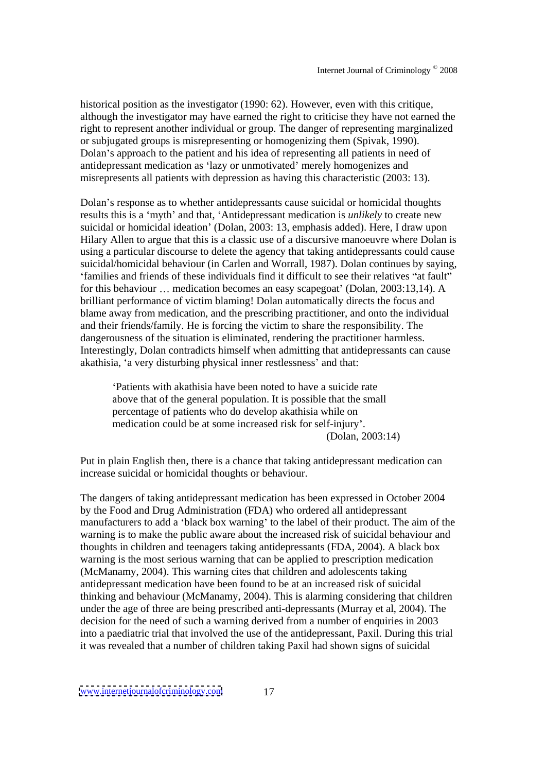historical position as the investigator (1990: 62). However, even with this critique, although the investigator may have earned the right to criticise they have not earned the right to represent another individual or group. The danger of representing marginalized or subjugated groups is misrepresenting or homogenizing them (Spivak, 1990). Dolan's approach to the patient and his idea of representing all patients in need of antidepressant medication as 'lazy or unmotivated' merely homogenizes and misrepresents all patients with depression as having this characteristic (2003: 13).

Dolan's response as to whether antidepressants cause suicidal or homicidal thoughts results this is a 'myth' and that, 'Antidepressant medication is *unlikely* to create new suicidal or homicidal ideation' (Dolan, 2003: 13, emphasis added). Here, I draw upon Hilary Allen to argue that this is a classic use of a discursive manoeuvre where Dolan is using a particular discourse to delete the agency that taking antidepressants could cause suicidal/homicidal behaviour (in Carlen and Worrall, 1987). Dolan continues by saying, 'families and friends of these individuals find it difficult to see their relatives "at fault" for this behaviour  $\ldots$  medication becomes an easy scapegoat' (Dolan, 2003:13,14). A brilliant performance of victim blaming! Dolan automatically directs the focus and blame away from medication, and the prescribing practitioner, and onto the individual and their friends/family. He is forcing the victim to share the responsibility. The dangerousness of the situation is eliminated, rendering the practitioner harmless. Interestingly, Dolan contradicts himself when admitting that antidepressants can cause akathisia, 'a very disturbing physical inner restlessness' and that:

Patients with akathisia have been noted to have a suicide rate above that of the general population. It is possible that the small percentage of patients who do develop akathisia while on medication could be at some increased risk for self-injury . (Dolan, 2003:14)

Put in plain English then, there is a chance that taking antidepressant medication can increase suicidal or homicidal thoughts or behaviour.

The dangers of taking antidepressant medication has been expressed in October 2004 by the Food and Drug Administration (FDA) who ordered all antidepressant manufacturers to add a 'black box warning' to the label of their product. The aim of the warning is to make the public aware about the increased risk of suicidal behaviour and thoughts in children and teenagers taking antidepressants (FDA, 2004). A black box warning is the most serious warning that can be applied to prescription medication (McManamy, 2004). This warning cites that children and adolescents taking antidepressant medication have been found to be at an increased risk of suicidal thinking and behaviour (McManamy, 2004). This is alarming considering that children under the age of three are being prescribed anti-depressants (Murray et al, 2004). The decision for the need of such a warning derived from a number of enquiries in 2003 into a paediatric trial that involved the use of the antidepressant, Paxil. During this trial it was revealed that a number of children taking Paxil had shown signs of suicidal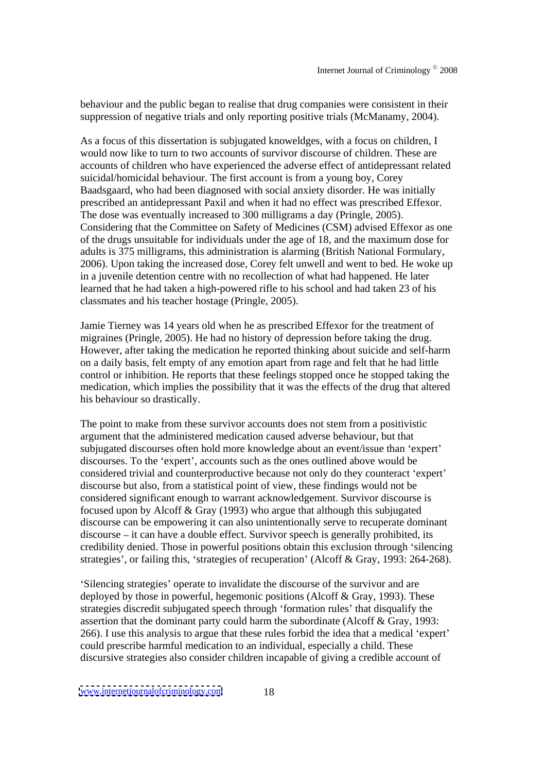behaviour and the public began to realise that drug companies were consistent in their suppression of negative trials and only reporting positive trials (McManamy, 2004).

As a focus of this dissertation is subjugated knoweldges, with a focus on children, I would now like to turn to two accounts of survivor discourse of children. These are accounts of children who have experienced the adverse effect of antidepressant related suicidal/homicidal behaviour. The first account is from a young boy, Corey Baadsgaard, who had been diagnosed with social anxiety disorder. He was initially prescribed an antidepressant Paxil and when it had no effect was prescribed Effexor. The dose was eventually increased to 300 milligrams a day (Pringle, 2005). Considering that the Committee on Safety of Medicines(CSM) advised Effexor as one of the drugs unsuitable for individuals under the age of 18, and the maximum dose for adults is 375 milligrams, this administration is alarming (British National Formulary, 2006). Upon taking the increased dose, Corey felt unwell and went to bed. He woke up in a juvenile detention centre with no recollection of what had happened. He later learned that he had taken a high-powered rifle to his school and had taken 23 of his classmates and his teacher hostage (Pringle, 2005).

Jamie Tierney was 14 years old when he as prescribed Effexor for the treatment of migraines (Pringle, 2005). He had no history of depression before taking the drug. However, after taking the medication he reported thinking about suicide and self-harm on a daily basis, felt empty of any emotion apart from rage and felt that he had little control or inhibition. He reports that these feelings stopped once he stopped taking the medication, which implies the possibility that it was the effects of the drug that altered his behaviour so drastically.

The point to make from these survivor accounts does not stem from a positivistic argument that the administered medication caused adverse behaviour, but that subjugated discourses often hold more knowledge about an event/issue than 'expert' discourses. To the 'expert', accounts such as the ones outlined above would be considered trivial and counterproductive because not only do they counteract 'expert' discourse but also, from a statistical point of view, these findings would not be considered significant enough to warrant acknowledgement. Survivor discourse is focused upon by Alcoff & Gray (1993) who argue that although this subjugated discourse can be empowering it can also unintentionally serve to recuperate dominant  $discourse - it can have a double effect. Survivor speech is generally prohibited, its$ credibility denied. Those in powerful positions obtain this exclusion through 'silencing strategies', or failing this, 'strategies of recuperation' (Alcoff & Gray, 1993: 264-268).

Silencing strategies' operate to invalidate the discourse of the survivor and are deployed by those in powerful, hegemonic positions (Alcoff & Gray, 1993). These strategies discredit subjugated speech through 'formation rules' that disqualify the assertion that the dominant party could harm the subordinate (Alcoff & Gray, 1993:  $266$ ). I use this analysis to argue that these rules forbid the idea that a medical 'expert' could prescribe harmful medication to an individual, especially a child. These discursive strategies also consider children incapable of giving a credible account of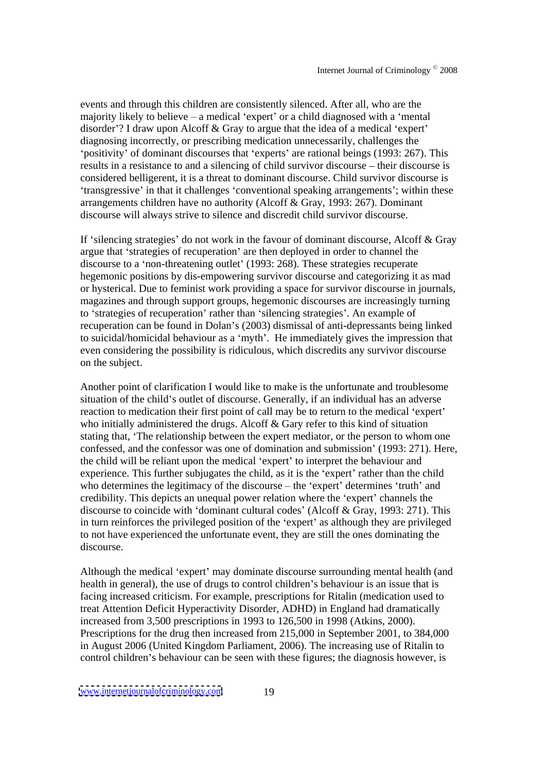events and through this children are consistently silenced. After all, who are the majority likely to believe  $-$  a medical 'expert' or a child diagnosed with a 'mental disorder'? I draw upon Alcoff  $&$  Gray to argue that the idea of a medical 'expert' diagnosing incorrectly, or prescribing medication unnecessarily, challenges the 'positivity' of dominant discourses that 'experts' are rational beings (1993: 267). This results in a resistance to and a silencing of child survivor discourse – their discourse is considered belligerent, it is a threat to dominant discourse. Child survivor discourse is transgressive' in that it challenges 'conventional speaking arrangements'; within these arrangements children have no authority (Alcoff & Gray, 1993: 267). Dominant discourse will always strive to silence and discredit child survivor discourse.

If 'silencing strategies' do not work in the favour of dominant discourse, Alcoff  $\&$  Gray argue that 'strategies of recuperation' are then deployed in order to channel the discourse to a 'non-threatening outlet' (1993: 268). These strategies recuperate hegemonic positions by dis-empowering survivor discourse and categorizing it as mad or hysterical. Due to feminist work providing a space for survivor discourse in journals, magazines and through support groups, hegemonic discourses are increasingly turning to 'strategies of recuperation' rather than 'silencing strategies'. An example of recuperation can be found in Dolan's (2003) dismissal of anti-depressants being linked to suicidal/homicidal behaviour as a 'myth'. He immediately gives the impression that even considering the possibility is ridiculous, which discredits any survivor discourse on the subject.

Another point of clarification I would like to make is the unfortunate and troublesome situation of the child's outlet of discourse. Generally, if an individual has an adverse reaction to medication their first point of call may be to return to the medical 'expert' who initially administered the drugs. Alcoff  $\&$  Gary refer to this kind of situation stating that, The relationship between the expert mediator, or the person to whom one confessed, and the confessor was one of domination and submission' (1993: 271). Here, the child will be reliant upon the medical 'expert' to interpret the behaviour and experience. This further subjugates the child, as it is the 'expert' rather than the child who determines the legitimacy of the discourse  $-$  the 'expert' determines 'truth' and credibility. This depicts an unequal power relation where the 'expert' channels the discourse to coincide with dominant cultural codes (Alcoff & Gray, 1993: 271). This in turn reinforces the privileged position of the 'expert' as although they are privileged to not have experienced the unfortunate event, they are still the ones dominating the discourse.

Although the medical 'expert' may dominate discourse surrounding mental health (and health in general), the use of drugs to control children's behaviour is an issue that is facing increased criticism. For example, prescriptions for Ritalin (medication used to treat Attention Deficit Hyperactivity Disorder, ADHD) in England had dramatically increased from 3,500 prescriptions in 1993 to 126,500 in 1998 (Atkins, 2000). Prescriptions for the drug then increased from 215,000 in September 2001, to 384,000 in August 2006 (United Kingdom Parliament, 2006). The increasing use of Ritalin to control children's behaviour can be seen with these figures; the diagnosis however, is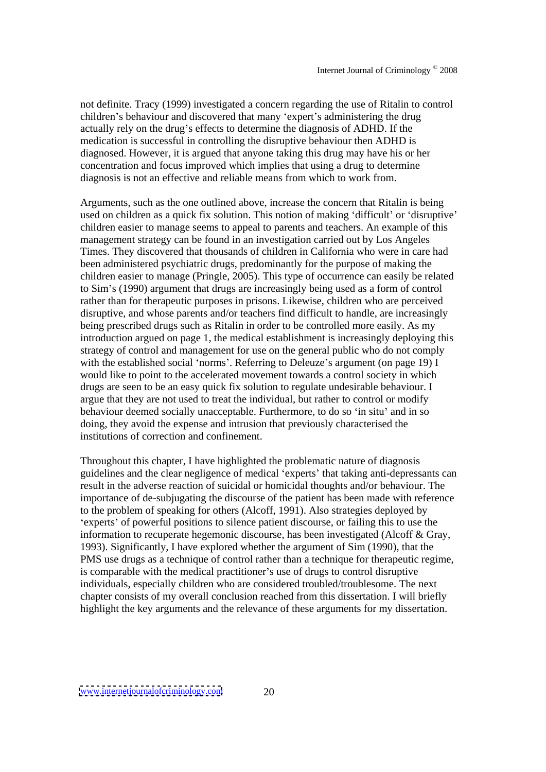not definite. Tracy (1999) investigated a concern regarding the use of Ritalin to control children's behaviour and discovered that many 'expert's administering the drug actually rely on the drug's effects to determine the diagnosis of ADHD. If the medication is successful in controlling the disruptive behaviour then ADHD is diagnosed. However, it is argued that anyone taking this drug may have his or her concentration and focus improved which implies that using a drug to determine diagnosis is not an effective and reliable means from which to work from.

Arguments, such as the one outlined above, increase the concern that Ritalin is being used on children as a quick fix solution. This notion of making 'difficult' or 'disruptive' children easier to manage seems to appeal to parents and teachers. An example of this management strategy can be found in an investigation carried out by Los Angeles Times. They discovered that thousands of children in California who were in care had been administered psychiatric drugs, predominantly for the purpose of making the children easier to manage (Pringle, 2005). This type of occurrence can easily be related to Sim s (1990) argument that drugs are increasingly being used as a form of control rather than for therapeutic purposes in prisons. Likewise, children who are perceived disruptive, and whose parents and/or teachers find difficult to handle, are increasingly being prescribed drugs such as Ritalin in order to be controlled more easily. As my introduction argued on page 1, the medical establishment is increasingly deploying this strategy of control and management for use on the general public who do not comply with the established social 'norms'. Referring to Deleuze's argument (on page 19) I would like to point to the accelerated movement towards a control society in which drugs are seen to be an easy quick fix solution to regulate undesirable behaviour. I argue that they are not used to treat the individual, but rather to control or modify behaviour deemed socially unacceptable. Furthermore, to do so 'in situ' and in so doing, they avoid the expense and intrusion that previously characterised the institutions of correction and confinement.

Throughout this chapter, I have highlighted the problematic nature of diagnosis guidelines and the clear negligence of medical 'experts' that taking anti-depressants can result in the adverse reaction of suicidal or homicidal thoughts and/or behaviour. The importance of de-subjugating the discourse of the patient has been made with reference to the problem of speaking for others (Alcoff, 1991). Also strategies deployed by experts' of powerful positions to silence patient discourse, or failing this to use the information to recuperate hegemonic discourse, has been investigated (Alcoff & Gray, 1993). Significantly, I have explored whether the argument of Sim (1990), that the PMS use drugs as a technique of control rather than a technique for therapeutic regime, is comparable with the medical practitioner's use of drugs to control disruptive individuals, especially children who are considered troubled/troublesome. The next chapter consists of my overall conclusion reached from this dissertation. I will briefly highlight the key arguments and the relevance of these arguments for my dissertation.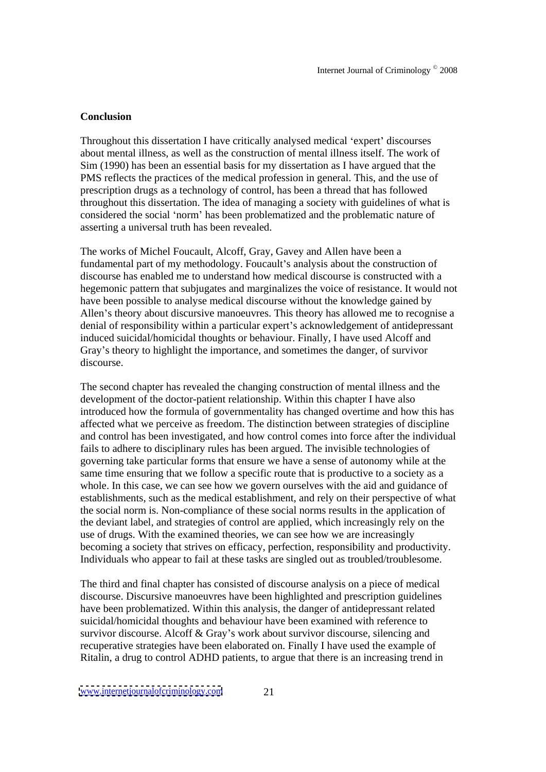#### **Conclusion**

Throughout this dissertation I have critically analysed medical 'expert' discourses about mental illness, as well as the construction of mental illness itself. The work of Sim (1990) has been an essential basis for my dissertation as I have argued that the PMS reflects the practices of the medical profession in general. This, and the use of prescription drugs as a technology of control, has been a thread that has followed throughout this dissertation. The idea of managing a society with guidelines of what is considered the social 'norm' has been problematized and the problematic nature of asserting a universal truth has been revealed.

The works of Michel Foucault, Alcoff, Gray, Gavey and Allen have been a fundamental part of my methodology. Foucault's analysis about the construction of discourse has enabled me to understand how medical discourse is constructed with a hegemonic pattern that subjugates and marginalizes the voice of resistance. It would not have been possible to analyse medical discourse without the knowledge gained by Allen's theory about discursive manoeuvres. This theory has allowed me to recognise a denial of responsibility within a particular expert's acknowledgement of antidepressant induced suicidal/homicidal thoughts or behaviour. Finally, I have used Alcoff and Gray's theory to highlight the importance, and sometimes the danger, of survivor discourse.

The second chapter has revealed the changing construction of mental illness and the development of the doctor-patient relationship. Within this chapter I have also introduced how the formula of governmentality has changed overtime and how this has affected what we perceive as freedom. The distinction between strategies of discipline and control has been investigated, and how control comes into force after the individual fails to adhere to disciplinary rules has been argued. The invisible technologies of governing take particular forms that ensure we have a sense of autonomy while at the same time ensuring that we follow a specific route that is productive to a society as a whole. In this case, we can see how we govern ourselves with the aid and guidance of establishments, such as the medical establishment, and rely on their perspective of what the social norm is. Non-compliance of these social norms results in the application of the deviant label, and strategies of control are applied, which increasingly rely on the use of drugs. With the examined theories, we can see how we are increasingly becoming a society that strives on efficacy, perfection, responsibility and productivity. Individuals who appear to fail at these tasks are singled out as troubled/troublesome.

The third and final chapter has consisted of discourse analysison a piece of medical discourse. Discursive manoeuvres have been highlighted and prescription guidelines have been problematized. Within this analysis, the danger of antidepressant related suicidal/homicidal thoughts and behaviour have been examined with reference to survivor discourse. Alcoff & Gray's work about survivor discourse, silencing and recuperative strategies have been elaborated on. Finally I have used the example of Ritalin, a drug to control ADHD patients, to argue that there is an increasing trend in